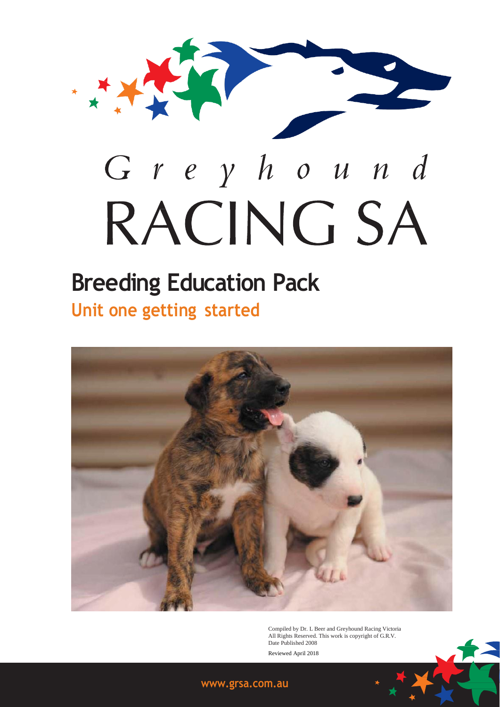

# **Breeding Education Pack Unit one getting started**



Compiled by Dr. L Beer and Greyhound Racing Victoria All Rights Reserved. This work is copyright of G.R.V. Date Published 2008 Reviewed April 2018

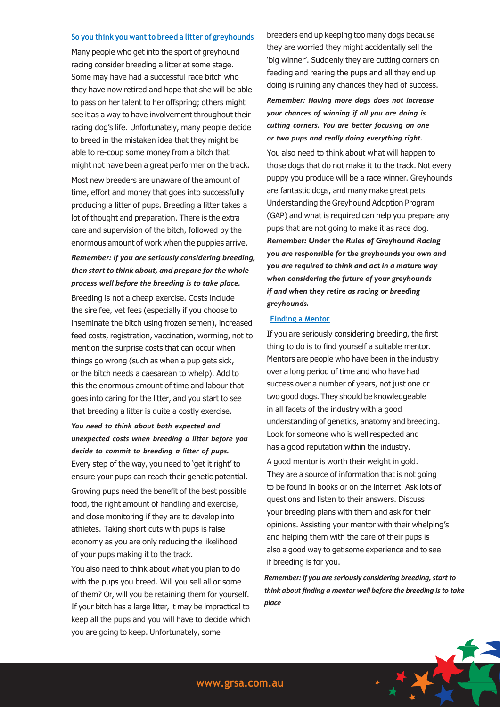#### **So you think you want to breed a litter of greyhounds**

Many people who get into the sport of greyhound racing consider breeding a litter at some stage. Some may have had a successful race bitch who they have now retired and hope that she will be able to pass on her talent to her offspring; others might see it as a way to have involvement throughout their racing dog's life. Unfortunately, many people decide to breed in the mistaken idea that they might be able to re-coup some money from a bitch that might not have been a great performer on the track. Most new breeders are unaware of the amount of time, effort and money that goes into successfully producing a litter of pups. Breeding a litter takes a lot of thought and preparation. There is the extra care and supervision of the bitch, followed by the enormous amount of work when the puppies arrive.

# *Remember: If you are seriously considering breeding, then start to think about, and prepare for the whole process well before the breeding is to take place.*

Breeding is not a cheap exercise. Costs include the sire fee, vet fees (especially if you choose to inseminate the bitch using frozen semen), increased feed costs, registration, vaccination, worming, not to mention the surprise costs that can occur when things go wrong (such as when a pup gets sick, or the bitch needs a caesarean to whelp). Add to this the enormous amount of time and labour that goes into caring for the litter, and you start to see that breeding a litter is quite a costly exercise.

# *You need to think about both expected and unexpected costs when breeding a litter before you decide to commit to breeding a litter of pups.*

Every step of the way, you need to 'get it right' to ensure your pups can reach their genetic potential. Growing pups need the benefit of the best possible food, the right amount of handling and exercise, and close monitoring if they are to develop into athletes. Taking short cuts with pups is false economy as you are only reducing the likelihood of your pups making it to the track.

You also need to think about what you plan to do with the pups you breed. Will you sell all or some of them? Or, will you be retaining them for yourself. If your bitch has a large litter, it may be impractical to keep all the pups and you will have to decide which you are going to keep. Unfortunately, some

breeders end up keeping too many dogs because they are worried they might accidentally sell the 'big winner'. Suddenly they are cutting corners on feeding and rearing the pups and all they end up doing is ruining any chances they had of success.

*Remember: Having more dogs does not increase your chances of winning if all you are doing is cutting corners. You are better focusing on one or two pups and really doing everything right.*

You also need to think about what will happen to those dogs that do not make it to the track. Not every puppy you produce will be a race winner. Greyhounds are fantastic dogs, and many make great pets. Understanding the Greyhound Adoption Program (GAP) and what is required can help you prepare any pups that are not going to make it as race dog. *Remember: Under the Rules of Greyhound Racing you are responsible for the greyhounds you own and you are required to think and act in a mature way when considering the future of your greyhounds if and when they retire as racing or breeding greyhounds.*

## **Finding a Mentor**

If you are seriously considering breeding, the first thing to do is to find yourself a suitable mentor. Mentors are people who have been in the industry over a long period of time and who have had success over a number of years, not just one or two good dogs. They should be knowledgeable in all facets of the industry with a good understanding of genetics, anatomy and breeding. Look for someone who is well respected and has a good reputation within the industry.

A good mentor is worth their weight in gold. They are a source of information that is not going to be found in books or on the internet. Ask lots of questions and listen to their answers. Discuss your breeding plans with them and ask for their opinions. Assisting your mentor with their whelping's and helping them with the care of their pups is also a good way to get some experience and to see if breeding is for you.

*Remember: If you are seriously considering breeding, start to think about finding a mentor well before the breeding is to take place*

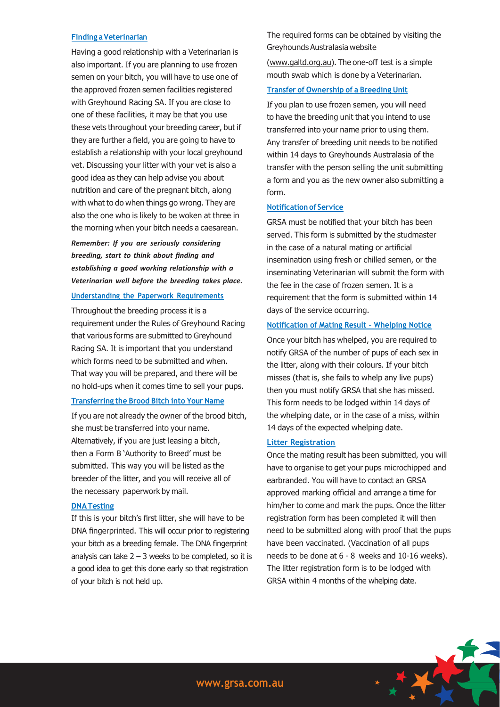#### **Finding aVeterinarian**

Having a good relationship with a Veterinarian is also important. If you are planning to use frozen semen on your bitch, you will have to use one of the approved frozen semen facilities registered with Greyhound Racing SA. If you are close to one of these facilities, it may be that you use these vets throughout your breeding career, but if they are further a field, you are going to have to establish a relationship with your local greyhound vet. Discussing your litter with your vet is also a good idea as they can help advise you about nutrition and care of the pregnant bitch, along with what to do when things go wrong. They are also the one who is likely to be woken at three in the morning when your bitch needs a caesarean.

*Remember: If you are seriously considering breeding, start to think about finding and establishing a good working relationship with a Veterinarian well before the breeding takes place.*

# **Understanding the Paperwork Requirements**

Throughout the breeding process it is a requirement under the Rules of Greyhound Racing that various forms are submitted to Greyhound Racing SA. It is important that you understand which forms need to be submitted and when. That way you will be prepared, and there will be no hold-ups when it comes time to sell your pups.

# **Transferring the Brood Bitch into Your Name**

If you are not already the owner of the brood bitch, she must be transferred into your name. Alternatively, if you are just leasing a bitch, then a Form B 'Authority to Breed' must be submitted. This way you will be listed as the breeder of the litter, and you will receive all of the necessary paperwork by mail.

#### **DNATesting**

If this is your bitch's first litter, she will have to be DNA fingerprinted. This will occur prior to registering your bitch as a breeding female. The DNA fingerprint analysis can take  $2 - 3$  weeks to be completed, so it is a good idea to get this done early so that registration of your bitch is not held up.

The required forms can be obtained by visiting the Greyhounds Australasia website

(www.galtd.org.au). The one-off test is a simple mouth swab which is done by a Veterinarian.

## **Transfer of Ownership of a Breeding Unit**

If you plan to use frozen semen, you will need to have the breeding unit that you intend to use transferred into your name prior to using them. Any transfer of breeding unit needs to be notified within 14 days to Greyhounds Australasia of the transfer with the person selling the unit submitting a form and you as the new owner also submitting a form.

## **Notification of Service**

GRSA must be notified that your bitch has been served. This form is submitted by the studmaster in the case of a natural mating or artificial insemination using fresh or chilled semen, or the inseminating Veterinarian will submit the form with the fee in the case of frozen semen. It is a requirement that the form is submitted within 14 days of the service occurring.

## **Notification of Mating Result – Whelping Notice**

Once your bitch has whelped, you are required to notify GRSA of the number of pups of each sex in the litter, along with their colours. If your bitch misses (that is, she fails to whelp any live pups) then you must notify GRSA that she has missed. This form needs to be lodged within 14 days of the whelping date, or in the case of a miss, within 14 days of the expected whelping date.

#### **Litter Registration**

Once the mating result has been submitted, you will have to organise to get your pups microchipped and earbranded. You will have to contact an GRSA approved marking official and arrange a time for him/her to come and mark the pups. Once the litter registration form has been completed it will then need to be submitted along with proof that the pups have been vaccinated. (Vaccination of all pups needs to be done at 6 - 8 weeks and 10-16 weeks). The litter registration form is to be lodged with GRSA within 4 months of the whelping date.

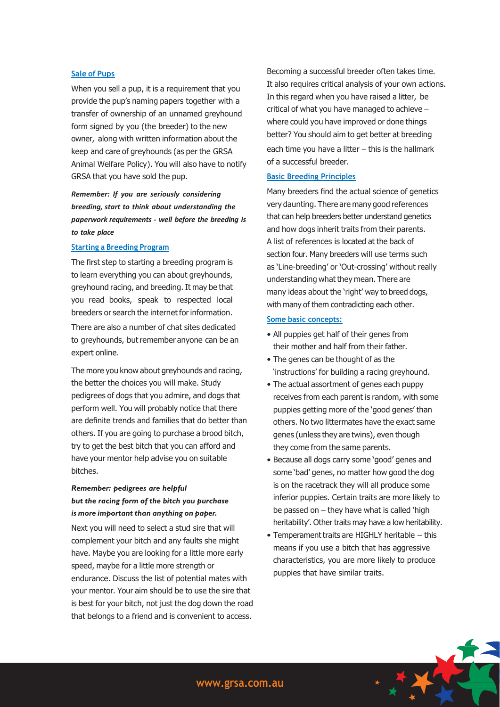## **Sale of Pups**

When you sell a pup, it is a requirement that you provide the pup's naming papers together with a transfer of ownership of an unnamed greyhound form signed by you (the breeder) to the new owner, along with written information about the keep and care of greyhounds (as per the GRSA Animal Welfare Policy). You will also have to notify GRSA that you have sold the pup.

# *Remember: If you are seriously considering breeding, start to think about understanding the paperwork requirements - well before the breeding is to take place*

#### **Starting a Breeding Program**

The first step to starting a breeding program is to learn everything you can about greyhounds, greyhound racing, and breeding. It may be that you read books, speak to respected local breeders or search the internet for information.

There are also a number of chat sites dedicated to greyhounds, but remember anyone can be an expert online.

The more you know about greyhounds and racing, the better the choices you will make. Study pedigrees of dogs that you admire, and dogs that perform well. You will probably notice that there are definite trends and families that do better than others. If you are going to purchase a brood bitch, try to get the best bitch that you can afford and have your mentor help advise you on suitable bitches.

# *Remember: pedigrees are helpful but the racing form of the bitch you purchase is more important than anything on paper.*

Next you will need to select a stud sire that will complement your bitch and any faults she might have. Maybe you are looking for a little more early speed, maybe for a little more strength or endurance. Discuss the list of potential mates with your mentor. Your aim should be to use the sire that is best for your bitch, not just the dog down the road that belongs to a friend and is convenient to access.

Becoming a successful breeder often takes time. It also requires critical analysis of your own actions. In this regard when you have raised a litter, be critical of what you have managed to achieve – where could you have improved or done things better? You should aim to get better at breeding each time you have a litter – this is the hallmark of a successful breeder.

### **Basic Breeding Principles**

Many breeders find the actual science of genetics very daunting. There are many good references that can help breeders better understand genetics and how dogs inherit traits from their parents. A list of references is located at the back of section four. Many breeders will use terms such as 'Line-breeding' or 'Out-crossing' without really understanding what they mean. There are many ideas about the 'right' way to breed dogs, with many of them contradicting each other.

#### **Some basic concepts:**

- All puppies get half of their genes from their mother and half from their father.
- The genes can be thought of as the 'instructions' for building a racing greyhound.
- The actual assortment of genes each puppy receives from each parent is random, with some puppies getting more of the 'good genes' than others. No two littermates have the exact same genes (unless they are twins), even though they come from the same parents.
- Because all dogs carry some 'good' genes and some 'bad' genes, no matter how good the dog is on the racetrack they will all produce some inferior puppies. Certain traits are more likely to be passed on – they have what is called 'high heritability'. Other traits may have a low heritability.
- Temperament traits are HIGHLY heritable this means if you use a bitch that has aggressive characteristics, you are more likely to produce puppies that have similar traits.

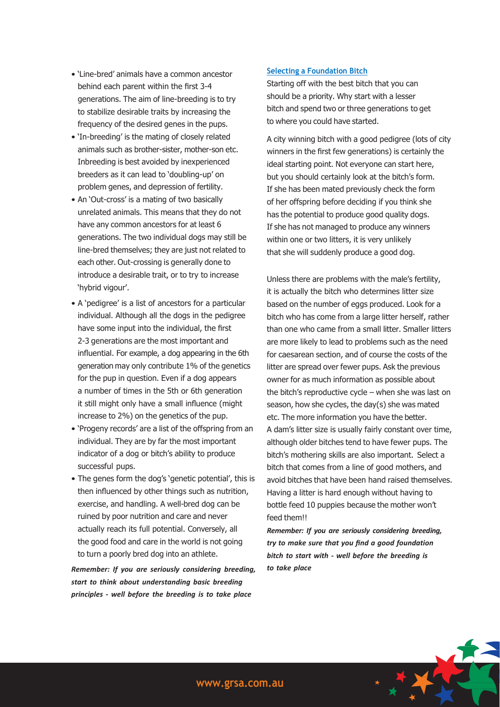- 'Line-bred' animals have a common ancestor behind each parent within the first 3-4 generations. The aim of line-breeding is to try to stabilize desirable traits by increasing the frequency of the desired genes in the pups.
- 'In-breeding' is the mating of closely related animals such as brother-sister, mother-son etc. Inbreeding is best avoided by inexperienced breeders as it can lead to 'doubling-up' on problem genes, and depression of fertility.
- An 'Out-cross' is a mating of two basically unrelated animals. This means that they do not have any common ancestors for at least 6 generations. The two individual dogs may still be line-bred themselves; they are just not related to each other. Out-crossing is generally done to introduce a desirable trait, or to try to increase 'hybrid vigour'.
- A 'pedigree' is a list of ancestors for a particular individual. Although all the dogs in the pedigree have some input into the individual, the first 2-3 generations are the most important and influential. For example, a dog appearing in the 6th generation may only contribute 1% of the genetics for the pup in question. Even if a dog appears a number of times in the 5th or 6th generation it still might only have a small influence (might increase to 2%) on the genetics of the pup.
- 'Progeny records' are a list of the offspring from an individual. They are by far the most important indicator of a dog or bitch's ability to produce successful pups.
- The genes form the dog's 'genetic potential', this is then influenced by other things such as nutrition, exercise, and handling. A well-bred dog can be ruined by poor nutrition and care and never actually reach its full potential. Conversely, all the good food and care in the world is not going to turn a poorly bred dog into an athlete.

*Remember: If you are seriously considering breeding, start to think about understanding basic breeding principles - well before the breeding is to take place*

# **Selecting a Foundation Bitch**

Starting off with the best bitch that you can should be a priority. Why start with a lesser bitch and spend two or three generations to get to where you could have started.

A city winning bitch with a good pedigree (lots of city winners in the first few generations) is certainly the ideal starting point. Not everyone can start here, but you should certainly look at the bitch's form. If she has been mated previously check the form of her offspring before deciding if you think she has the potential to produce good quality dogs. If she has not managed to produce any winners within one or two litters, it is very unlikely that she will suddenly produce a good dog.

Unless there are problems with the male's fertility, it is actually the bitch who determines litter size based on the number of eggs produced. Look for a bitch who has come from a large litter herself, rather than one who came from a small litter. Smaller litters are more likely to lead to problems such as the need for caesarean section, and of course the costs of the litter are spread over fewer pups. Ask the previous owner for as much information as possible about the bitch's reproductive cycle – when she was last on season, how she cycles, the day(s) she was mated etc. The more information you have the better. A dam's litter size is usually fairly constant over time, although older bitches tend to have fewer pups. The bitch's mothering skills are also important. Select a bitch that comes from a line of good mothers, and avoid bitches that have been hand raised themselves. Having a litter is hard enough without having to bottle feed 10 puppies because the mother won't feed them!!

*Remember: If you are seriously considering breeding, try to make sure that you find a good foundation bitch to start with - well before the breeding is to take place*

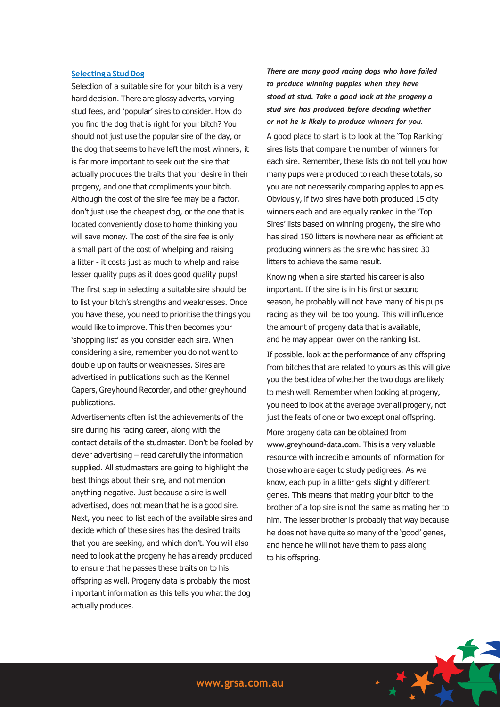## **Selecting a Stud Dog**

Selection of a suitable sire for your bitch is a very hard decision. There are glossy adverts, varying stud fees, and 'popular' sires to consider. How do you find the dog that is right for your bitch? You should not just use the popular sire of the day, or the dog that seems to have left the most winners, it is far more important to seek out the sire that actually produces the traits that your desire in their progeny, and one that compliments your bitch. Although the cost of the sire fee may be a factor, don't just use the cheapest dog, or the one that is located conveniently close to home thinking you will save money. The cost of the sire fee is only a small part of the cost of whelping and raising a litter - it costs just as much to whelp and raise lesser quality pups as it does good quality pups! The first step in selecting a suitable sire should be to list your bitch's strengths and weaknesses. Once you have these, you need to prioritise the things you would like to improve. This then becomes your 'shopping list' as you consider each sire. When considering a sire, remember you do not want to double up on faults or weaknesses. Sires are advertised in publications such as the Kennel Capers, Greyhound Recorder, and other greyhound publications.

Advertisements often list the achievements of the sire during his racing career, along with the contact details of the studmaster. Don't be fooled by clever advertising – read carefully the information supplied. All studmasters are going to highlight the best things about their sire, and not mention anything negative. Just because a sire is well advertised, does not mean that he is a good sire. Next, you need to list each of the available sires and decide which of these sires has the desired traits that you are seeking, and which don't. You will also need to look at the progeny he has already produced to ensure that he passes these traits on to his offspring as well. Progeny data is probably the most important information as this tells you what the dog actually produces.

*There are many good racing dogs who have failed to produce winning puppies when they have stood at stud. Take a good look at the progeny a stud sire has produced before deciding whether or not he is likely to produce winners for you.* A good place to start is to look at the 'Top Ranking' sires lists that compare the number of winners for each sire. Remember, these lists do not tell you how many pups were produced to reach these totals, so you are not necessarily comparing apples to apples. Obviously, if two sires have both produced 15 city winners each and are equally ranked in the 'Top Sires' lists based on winning progeny, the sire who has sired 150 litters is nowhere near as efficient at producing winners as the sire who has sired 30 litters to achieve the same result.

Knowing when a sire started his career is also important. If the sire is in his first or second season, he probably will not have many of his pups racing as they will be too young. This will influence the amount of progeny data that is available, and he may appear lower on the ranking list.

If possible, look at the performance of any offspring from bitches that are related to yours as this will give you the best idea of whether the two dogs are likely to mesh well. Remember when looking at progeny, you need to look at the average over all progeny, not just the feats of one or two exceptional offspring. More progeny data can be obtained from **[www.greyhound-data.com](http://www.greyhound-data.com/)**. This is a very valuable resource with incredible amounts of information for those who are eager to study pedigrees. As we know, each pup in a litter gets slightly different genes. This means that mating your bitch to the brother of a top sire is not the same as mating her to him. The lesser brother is probably that way because he does not have quite so many of the 'good' genes, and hence he will not have them to pass along to his offspring.

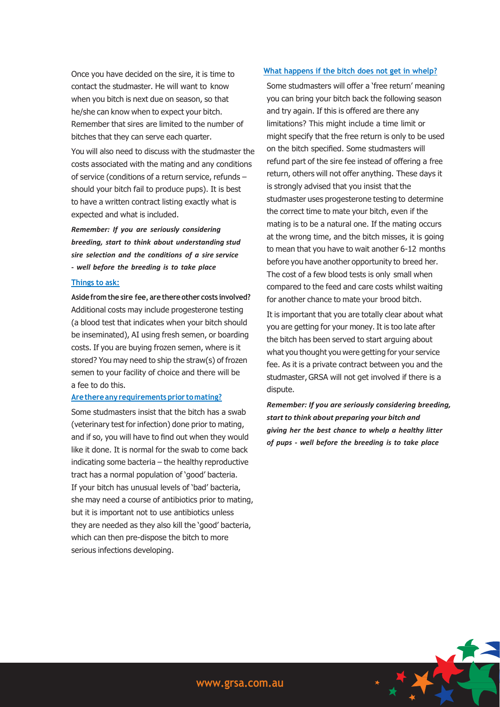Once you have decided on the sire, it is time to contact the studmaster. He will want to know when you bitch is next due on season, so that he/she can know when to expect your bitch. Remember that sires are limited to the number of bitches that they can serve each quarter.

You will also need to discuss with the studmaster the costs associated with the mating and any conditions of service (conditions of a return service, refunds – should your bitch fail to produce pups). It is best to have a written contract listing exactly what is expected and what is included.

*Remember: If you are seriously considering breeding, start to think about understanding stud sire selection and the conditions of a sire service - well before the breeding is to take place*

#### **Things to ask:**

**Asidefromthesire fee, arethereother costs involved?** Additional costs may include progesterone testing (a blood test that indicates when your bitch should be inseminated), AI using fresh semen, or boarding costs. If you are buying frozen semen, where is it stored? You may need to ship the straw(s) of frozen semen to your facility of choice and there will be a fee to do this.

#### **Arethereany requirements prior tomating?**

Some studmasters insist that the bitch has a swab (veterinary test for infection) done prior to mating, and if so, you will have to find out when they would like it done. It is normal for the swab to come back indicating some bacteria – the healthy reproductive tract has a normal population of 'good' bacteria. If your bitch has unusual levels of 'bad' bacteria, she may need a course of antibiotics prior to mating, but it is important not to use antibiotics unless they are needed as they also kill the 'good' bacteria, which can then pre-dispose the bitch to more serious infections developing.

# **What happens if the bitch does not get in whelp?**

Some studmasters will offer a 'free return' meaning you can bring your bitch back the following season and try again. If this is offered are there any limitations? This might include a time limit or might specify that the free return is only to be used on the bitch specified. Some studmasters will refund part of the sire fee instead of offering a free return, others will not offer anything. These days it is strongly advised that you insist that the studmaster uses progesterone testing to determine the correct time to mate your bitch, even if the mating is to be a natural one. If the mating occurs at the wrong time, and the bitch misses, it is going to mean that you have to wait another 6-12 months before you have another opportunity to breed her. The cost of a few blood tests is only small when compared to the feed and care costs whilst waiting for another chance to mate your brood bitch.

It is important that you are totally clear about what you are getting for your money. It is too late after the bitch has been served to start arguing about what you thought you were getting for your service fee. As it is a private contract between you and the studmaster, GRSA will not get involved if there is a dispute.

*Remember: If you are seriously considering breeding, start to think about preparing your bitch and giving her the best chance to whelp a healthy litter of pups - well before the breeding is to take place*

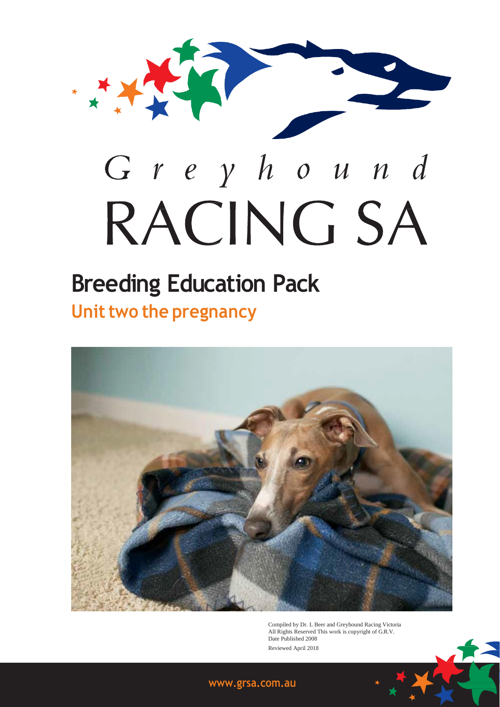

# **Breeding Education Pack Unit two the pregnancy**



Compiled by Dr. L Beer and Greyhound Racing Victoria All Rights Reserved This work is copyright of G.R.V. Date Published 2008 Reviewed April 2018

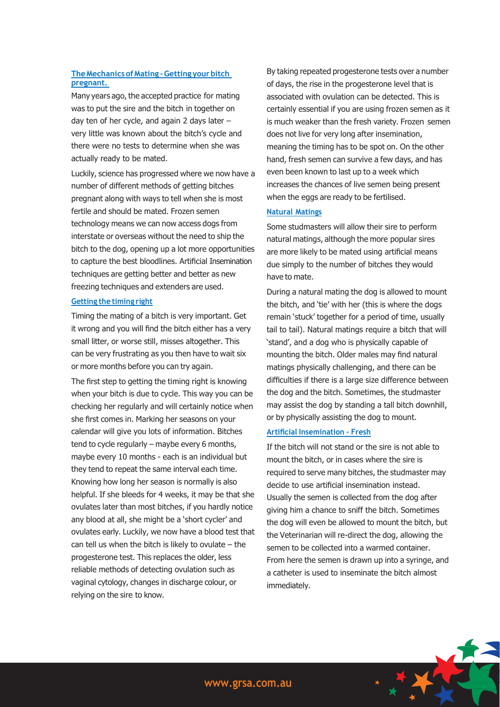# **TheMechanics ofMating –Getting yourbitch pregnant.**

Many years ago, the accepted practice for mating was to put the sire and the bitch in together on day ten of her cycle, and again 2 days later – very little was known about the bitch's cycle and there were no tests to determine when she was actually ready to be mated.

Luckily, science has progressed where we now have a number of different methods of getting bitches pregnant along with ways to tell when she is most fertile and should be mated. Frozen semen technology means we can now access dogs from interstate or overseas without the need to ship the bitch to the dog, opening up a lot more opportunities to capture the best bloodlines. Artificial Insemination techniques are getting better and better as new freezing techniques and extenders are used.

## **Getting the timing right**

Timing the mating of a bitch is very important. Get it wrong and you will find the bitch either has a very small litter, or worse still, misses altogether. This can be very frustrating as you then have to wait six or more months before you can try again.

The first step to getting the timing right is knowing when your bitch is due to cycle. This way you can be checking her regularly and will certainly notice when she first comes in. Marking her seasons on your calendar will give you lots of information. Bitches tend to cycle regularly – maybe every 6 months, maybe every 10 months - each is an individual but they tend to repeat the same interval each time. Knowing how long her season is normally is also helpful. If she bleeds for 4 weeks, it may be that she ovulates later than most bitches, if you hardly notice any blood at all, she might be a 'short cycler' and ovulates early. Luckily, we now have a blood test that can tell us when the bitch is likely to ovulate – the progesterone test. This replaces the older, less reliable methods of detecting ovulation such as vaginal cytology, changes in discharge colour, or relying on the sire to know.

By taking repeated progesterone tests over a number of days, the rise in the progesterone level that is associated with ovulation can be detected. This is certainly essential if you are using frozen semen as it is much weaker than the fresh variety. Frozen semen does not live for very long after insemination, meaning the timing has to be spot on. On the other hand, fresh semen can survive a few days, and has even been known to last up to a week which increases the chances of live semen being present when the eggs are ready to be fertilised.

## **Natural Matings**

Some studmasters will allow their sire to perform natural matings, although the more popular sires are more likely to be mated using artificial means due simply to the number of bitches they would have to mate.

During a natural mating the dog is allowed to mount the bitch, and 'tie' with her (this is where the dogs remain 'stuck' together for a period of time, usually tail to tail). Natural matings require a bitch that will 'stand', and a dog who is physically capable of mounting the bitch. Older males may find natural matings physically challenging, and there can be difficulties if there is a large size difference between the dog and the bitch. Sometimes, the studmaster may assist the dog by standing a tall bitch downhill, or by physically assisting the dog to mount.

## **Artificial Insemination – Fresh**

If the bitch will not stand or the sire is not able to mount the bitch, or in cases where the sire is required to serve many bitches, the studmaster may decide to use artificial insemination instead. Usually the semen is collected from the dog after giving him a chance to sniff the bitch. Sometimes the dog will even be allowed to mount the bitch, but the Veterinarian will re-direct the dog, allowing the semen to be collected into a warmed container. From here the semen is drawn up into a syringe, and a catheter is used to inseminate the bitch almost immediately.

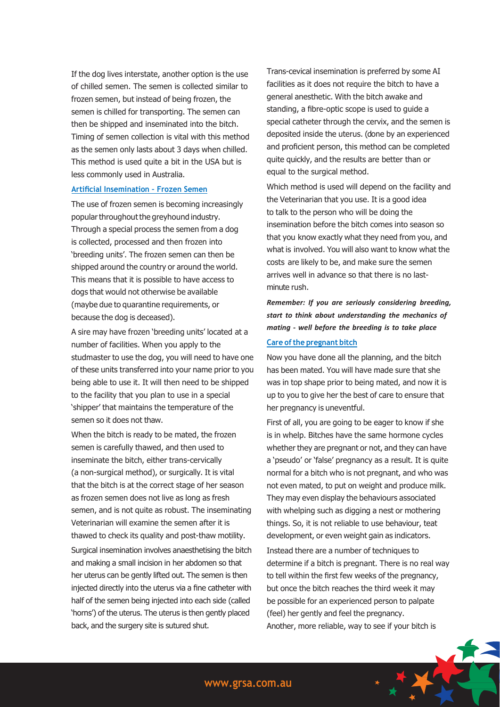If the dog lives interstate, another option is the use of chilled semen. The semen is collected similar to frozen semen, but instead of being frozen, the semen is chilled for transporting. The semen can then be shipped and inseminated into the bitch. Timing of semen collection is vital with this method as the semen only lasts about 3 days when chilled. This method is used quite a bit in the USA but is less commonly used in Australia.

# **Artificial Insemination – Frozen Semen**

The use of frozen semen is becoming increasingly popular throughout the greyhound industry. Through a special process the semen from a dog is collected, processed and then frozen into 'breeding units'. The frozen semen can then be shipped around the country or around the world. This means that it is possible to have access to dogs that would not otherwise be available (maybe due to quarantine requirements, or because the dog is deceased).

A sire may have frozen 'breeding units' located at a number of facilities. When you apply to the studmaster to use the dog, you will need to have one of these units transferred into your name prior to you being able to use it. It will then need to be shipped to the facility that you plan to use in a special 'shipper' that maintains the temperature of the semen so it does not thaw.

When the bitch is ready to be mated, the frozen semen is carefully thawed, and then used to inseminate the bitch, either trans-cervically (a non-surgical method), or surgically. It is vital that the bitch is at the correct stage of her season as frozen semen does not live as long as fresh semen, and is not quite as robust. The inseminating Veterinarian will examine the semen after it is thawed to check its quality and post-thaw motility.

Surgical insemination involves anaesthetising the bitch and making a small incision in her abdomen so that her uterus can be gently lifted out. The semen is then injected directly into the uterus via a fine catheter with half of the semen being injected into each side (called 'horns') of the uterus. The uterus is then gently placed back, and the surgery site is sutured shut.

Trans-cevical insemination is preferred by some AI facilities as it does not require the bitch to have a general anesthetic. With the bitch awake and standing, a fibre-optic scope is used to guide a special catheter through the cervix, and the semen is deposited inside the uterus. (done by an experienced and proficient person, this method can be completed quite quickly, and the results are better than or equal to the surgical method.

Which method is used will depend on the facility and the Veterinarian that you use. It is a good idea to talk to the person who will be doing the insemination before the bitch comes into season so that you know exactly what they need from you, and what is involved. You will also want to know what the costs are likely to be, and make sure the semen arrives well in advance so that there is no lastminute rush.

*Remember: If you are seriously considering breeding, start to think about understanding the mechanics of mating - well before the breeding is to take place* **Care ofthe pregnant bitch**

Now you have done all the planning, and the bitch has been mated. You will have made sure that she was in top shape prior to being mated, and now it is up to you to give her the best of care to ensure that her pregnancy is uneventful.

First of all, you are going to be eager to know if she is in whelp. Bitches have the same hormone cycles whether they are pregnant or not, and they can have a 'pseudo' or 'false' pregnancy as a result. It is quite normal for a bitch who is not pregnant, and who was not even mated, to put on weight and produce milk. They may even display the behaviours associated with whelping such as digging a nest or mothering things. So, it is not reliable to use behaviour, teat development, or even weight gain as indicators. Instead there are a number of techniques to determine if a bitch is pregnant. There is no real way to tell within the first few weeks of the pregnancy, but once the bitch reaches the third week it may be possible for an experienced person to palpate (feel) her gently and feel the pregnancy. Another, more reliable, way to see if your bitch is

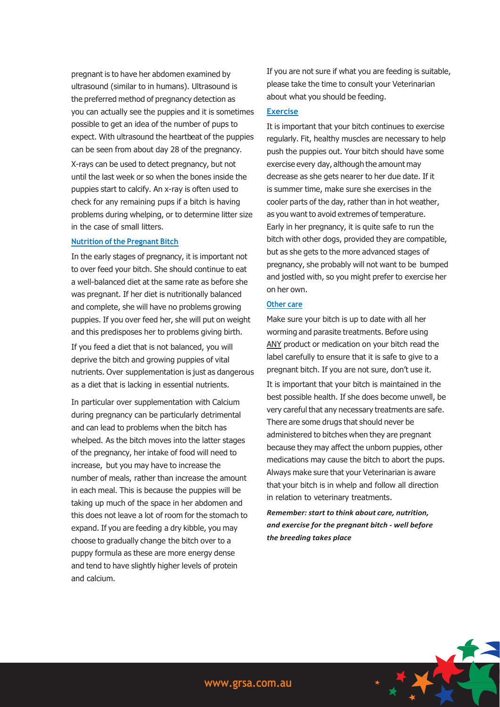pregnant is to have her abdomen examined by ultrasound (similar to in humans). Ultrasound is the preferred method of pregnancy detection as you can actually see the puppies and it is sometimes possible to get an idea of the number of pups to expect. With ultrasound the heartbeat of the puppies can be seen from about day 28 of the pregnancy. X-rays can be used to detect pregnancy, but not until the last week or so when the bones inside the puppies start to calcify. An x-ray is often used to check for any remaining pups if a bitch is having problems during whelping, or to determine litter size in the case of small litters.

## **Nutrition of the Pregnant Bitch**

In the early stages of pregnancy, it is important not to over feed your bitch. She should continue to eat a well-balanced diet at the same rate as before she was pregnant. If her diet is nutritionally balanced and complete, she will have no problems growing puppies. If you over feed her, she will put on weight and this predisposes her to problems giving birth.

If you feed a diet that is not balanced, you will deprive the bitch and growing puppies of vital nutrients. Over supplementation is just as dangerous as a diet that is lacking in essential nutrients.

In particular over supplementation with Calcium during pregnancy can be particularly detrimental and can lead to problems when the bitch has whelped. As the bitch moves into the latter stages of the pregnancy, her intake of food will need to increase, but you may have to increase the number of meals, rather than increase the amount in each meal. This is because the puppies will be taking up much of the space in her abdomen and this does not leave a lot of room for the stomach to expand. If you are feeding a dry kibble, you may choose to gradually change the bitch over to a puppy formula as these are more energy dense and tend to have slightly higher levels of protein and calcium.

If you are not sure if what you are feeding is suitable, please take the time to consult your Veterinarian about what you should be feeding.

## **Exercise**

It is important that your bitch continues to exercise regularly. Fit, healthy muscles are necessary to help push the puppies out. Your bitch should have some exercise every day, although the amount may decrease as she gets nearer to her due date. If it is summer time, make sure she exercises in the cooler parts of the day, rather than in hot weather, as you want to avoid extremes of temperature. Early in her pregnancy, it is quite safe to run the bitch with other dogs, provided they are compatible, but as she gets to the more advanced stages of pregnancy, she probably will not want to be bumped and jostled with, so you might prefer to exercise her on her own.

# **Other care**

Make sure your bitch is up to date with all her worming and parasite treatments. Before using ANY product or medication on your bitch read the label carefully to ensure that it is safe to give to a pregnant bitch. If you are not sure, don't use it. It is important that your bitch is maintained in the best possible health. If she does become unwell, be very careful that any necessary treatments are safe. There are some drugs that should never be administered to bitches when they are pregnant because they may affect the unborn puppies, other medications may cause the bitch to abort the pups. Always make sure that your Veterinarian is aware that your bitch is in whelp and follow all direction in relation to veterinary treatments.

*Remember: start to think about care, nutrition, and exercise for the pregnant bitch - well before the breeding takes place*

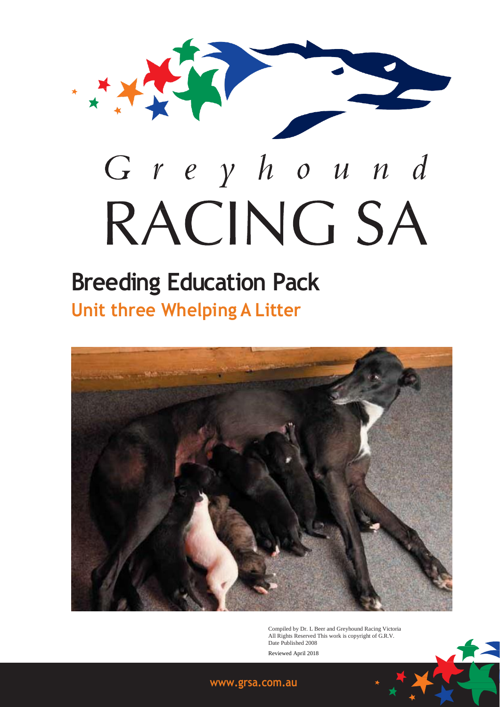

# **Breeding Education Pack Unit three Whelping A Litter**



Compiled by Dr. L Beer and Greyhound Racing Victoria All Rights Reserved This work is copyright of G.R.V. Date Published 2008 Reviewed April 2018

# **[www.grsa.com.au](http://www.grsa.com.au/)**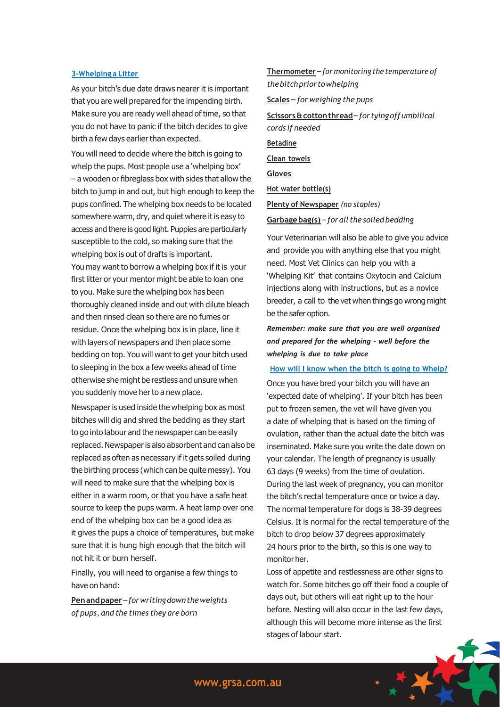## **3-Whelping a Litter**

As your bitch's due date draws nearer it is important that you are well prepared for the impending birth. Make sure you are ready well ahead of time, so that you do not have to panic if the bitch decides to give birth a few days earlier than expected.

You will need to decide where the bitch is going to whelp the pups. Most people use a 'whelping box' – a wooden or fibreglass box with sides that allow the bitch to jump in and out, but high enough to keep the pups confined. The whelping box needs to be located somewhere warm, dry, and quiet where it is easy to access and there is good light. Puppies are particularly susceptible to the cold, so making sure that the whelping box is out of drafts is important. You may want to borrow a whelping box if it is your first litter or your mentor might be able to loan one to you. Make sure the whelping box has been thoroughly cleaned inside and out with dilute bleach and then rinsed clean so there are no fumes or residue. Once the whelping box is in place, line it with layers of newspapers and then place some bedding on top. You will want to get your bitch used to sleeping in the box a few weeks ahead of time otherwise she might be restless and unsure when you suddenly move her to a new place.

Newspaper is used inside the whelping box as most bitches will dig and shred the bedding as they start to go into labour and the newspaper can be easily replaced. Newspaper is also absorbent and can also be replaced as often as necessary if it gets soiled during the birthing process (which can be quite messy). You will need to make sure that the whelping box is either in a warm room, or that you have a safe heat source to keep the pups warm. A heat lamp over one end of the whelping box can be a good idea as it gives the pups a choice of temperatures, but make sure that it is hung high enough that the bitch will not hit it or burn herself.

Finally, you will need to organise a few things to have on hand:

**Penandpaper**–*forwritingdowntheweights of pups, and the times they are born*

**Thermometer** – *for monitoring the temperature of thebitchpriortowhelping* **Scales** – *for weighing the pups*

**Scissors&cottonthread**–*for tyingoffumbilical cords if needed* **Betadine**

**Clean towels**

**Gloves**

**Hot water bottle(s)**

**Plenty of Newspaper** *(no staples)*

**Garbagebag(s)** – *for all the soiled bedding*

Your Veterinarian will also be able to give you advice and provide you with anything else that you might need. Most Vet Clinics can help you with a 'Whelping Kit' that contains Oxytocin and Calcium injections along with instructions, but as a novice breeder, a call to the vet when things go wrong might be the safer option.

# *Remember: make sure that you are well organised and prepared for the whelping - well before the whelping is due to take place*

#### **How will I know when the bitch is going to Whelp?**

Once you have bred your bitch you will have an 'expected date of whelping'. If your bitch has been put to frozen semen, the vet will have given you a date of whelping that is based on the timing of ovulation, rather than the actual date the bitch was inseminated. Make sure you write the date down on your calendar. The length of pregnancy is usually 63 days (9 weeks) from the time of ovulation. During the last week of pregnancy, you can monitor the bitch's rectal temperature once or twice a day. The normal temperature for dogs is 38-39 degrees Celsius. It is normal for the rectal temperature of the bitch to drop below 37 degrees approximately 24 hours prior to the birth, so this is one way to monitor her.

Loss of appetite and restlessness are other signs to watch for. Some bitches go off their food a couple of days out, but others will eat right up to the hour before. Nesting will also occur in the last few days, although this will become more intense as the first stages of labour start.

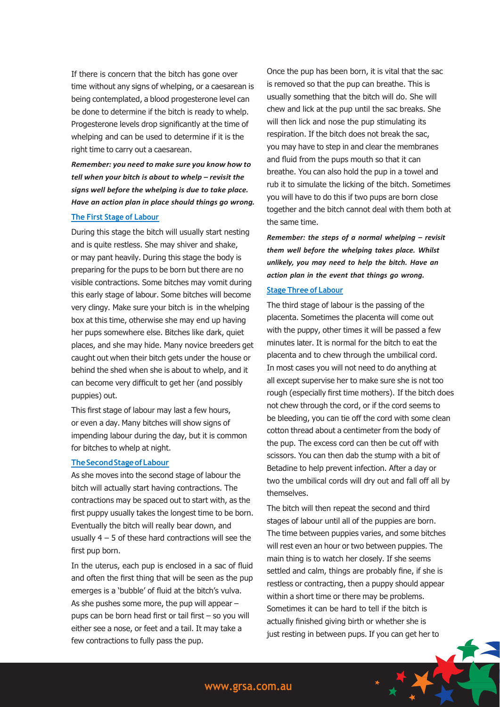If there is concern that the bitch has gone over time without any signs of whelping, or a caesarean is being contemplated, a blood progesterone level can be done to determine if the bitch is ready to whelp. Progesterone levels drop significantly at the time of whelping and can be used to determine if it is the right time to carry out a caesarean.

*Remember: you need to make sure you know how to tell when your bitch is about to whelp – revisit the signs well before the whelping is due to take place. Have an action plan in place should things go wrong.*

# **The First Stage of Labour**

During this stage the bitch will usually start nesting and is quite restless. She may shiver and shake, or may pant heavily. During this stage the body is preparing for the pups to be born but there are no visible contractions. Some bitches may vomit during this early stage of labour. Some bitches will become very clingy. Make sure your bitch is in the whelping box at this time, otherwise she may end up having her pups somewhere else. Bitches like dark, quiet places, and she may hide. Many novice breeders get caught out when their bitch gets under the house or behind the shed when she is about to whelp, and it can become very difficult to get her (and possibly puppies) out.

This first stage of labour may last a few hours, or even a day. Many bitches will show signs of impending labour during the day, but it is common for bitches to whelp at night.

## **TheSecondStageofLabour**

As she moves into the second stage of labour the bitch will actually start having contractions. The contractions may be spaced out to start with, as the first puppy usually takes the longest time to be born. Eventually the bitch will really bear down, and usually  $4 - 5$  of these hard contractions will see the first pup born.

In the uterus, each pup is enclosed in a sac of fluid and often the first thing that will be seen as the pup emerges is a 'bubble' of fluid at the bitch's vulva. As she pushes some more, the pup will appear – pups can be born head first or tail first – so you will either see a nose, or feet and a tail. It may take a few contractions to fully pass the pup.

Once the pup has been born, it is vital that the sac is removed so that the pup can breathe. This is usually something that the bitch will do. She will chew and lick at the pup until the sac breaks. She will then lick and nose the pup stimulating its respiration. If the bitch does not break the sac, you may have to step in and clear the membranes and fluid from the pups mouth so that it can breathe. You can also hold the pup in a towel and rub it to simulate the licking of the bitch. Sometimes you will have to do this if two pups are born close together and the bitch cannot deal with them both at the same time.

*Remember: the steps of a normal whelping – revisit them well before the whelping takes place. Whilst unlikely, you may need to help the bitch. Have an action plan in the event that things go wrong.*

## **Stage Three of Labour**

The third stage of labour is the passing of the placenta. Sometimes the placenta will come out with the puppy, other times it will be passed a few minutes later. It is normal for the bitch to eat the placenta and to chew through the umbilical cord. In most cases you will not need to do anything at all except supervise her to make sure she is not too rough (especially first time mothers). If the bitch does not chew through the cord, or if the cord seems to be bleeding, you can tie off the cord with some clean cotton thread about a centimeter from the body of the pup. The excess cord can then be cut off with scissors. You can then dab the stump with a bit of Betadine to help prevent infection. After a day or two the umbilical cords will dry out and fall off all by themselves.

The bitch will then repeat the second and third stages of labour until all of the puppies are born. The time between puppies varies, and some bitches will rest even an hour or two between puppies. The main thing is to watch her closely. If she seems settled and calm, things are probably fine, if she is restless or contracting, then a puppy should appear within a short time or there may be problems. Sometimes it can be hard to tell if the bitch is actually finished giving birth or whether she is just resting in between pups. If you can get her to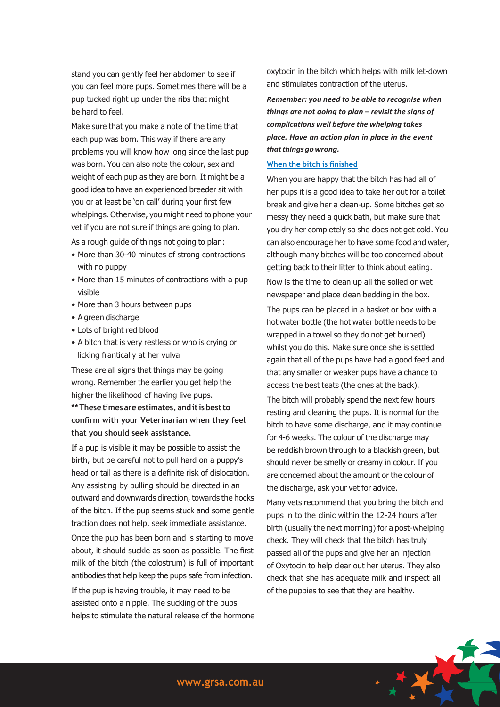stand you can gently feel her abdomen to see if you can feel more pups. Sometimes there will be a pup tucked right up under the ribs that might be hard to feel.

Make sure that you make a note of the time that each pup was born. This way if there are any problems you will know how long since the last pup was born. You can also note the colour, sex and weight of each pup as they are born. It might be a good idea to have an experienced breeder sit with you or at least be 'on call' during your first few whelpings. Otherwise, you might need to phone your vet if you are not sure if things are going to plan.

As a rough guide of things not going to plan:

- More than 30-40 minutes of strong contractions with no puppy
- More than 15 minutes of contractions with a pup visible
- More than 3 hours between pups
- A green discharge
- Lots of bright red blood
- A bitch that is very restless or who is crying or licking frantically at her vulva

These are all signs that things may be going wrong. Remember the earlier you get help the higher the likelihood of having live pups. **\*\*These times are estimates, anditisbestto confirm with your Veterinarian when they feel that you should seek assistance.**

If a pup is visible it may be possible to assist the birth, but be careful not to pull hard on a puppy's head or tail as there is a definite risk of dislocation. Any assisting by pulling should be directed in an outward and downwards direction, towards the hocks of the bitch. If the pup seems stuck and some gentle traction does not help, seek immediate assistance.

Once the pup has been born and is starting to move about, it should suckle as soon as possible. The first milk of the bitch (the colostrum) is full of important antibodies that help keep the pups safe from infection.

If the pup is having trouble, it may need to be assisted onto a nipple. The suckling of the pups helps to stimulate the natural release of the hormone oxytocin in the bitch which helps with milk let-down and stimulates contraction of the uterus.

*Remember: you need to be able to recognise when things are not going to plan – revisit the signs of complications well before the whelping takes place. Have an action plan in place in the event thatthingsgowrong.*

# **When the bitch is finished**

When you are happy that the bitch has had all of her pups it is a good idea to take her out for a toilet break and give her a clean-up. Some bitches get so messy they need a quick bath, but make sure that you dry her completely so she does not get cold. You can also encourage her to have some food and water, although many bitches will be too concerned about getting back to their litter to think about eating.

Now is the time to clean up all the soiled or wet newspaper and place clean bedding in the box.

The pups can be placed in a basket or box with a hot water bottle (the hot water bottle needs to be wrapped in a towel so they do not get burned) whilst you do this. Make sure once she is settled again that all of the pups have had a good feed and that any smaller or weaker pups have a chance to access the best teats (the ones at the back).

The bitch will probably spend the next few hours resting and cleaning the pups. It is normal for the bitch to have some discharge, and it may continue for 4-6 weeks. The colour of the discharge may be reddish brown through to a blackish green, but should never be smelly or creamy in colour. If you are concerned about the amount or the colour of the discharge, ask your vet for advice.

Many vets recommend that you bring the bitch and pups in to the clinic within the 12-24 hours after birth (usually the next morning) for a post-whelping check. They will check that the bitch has truly passed all of the pups and give her an injection of Oxytocin to help clear out her uterus. They also check that she has adequate milk and inspect all of the puppies to see that they are healthy.

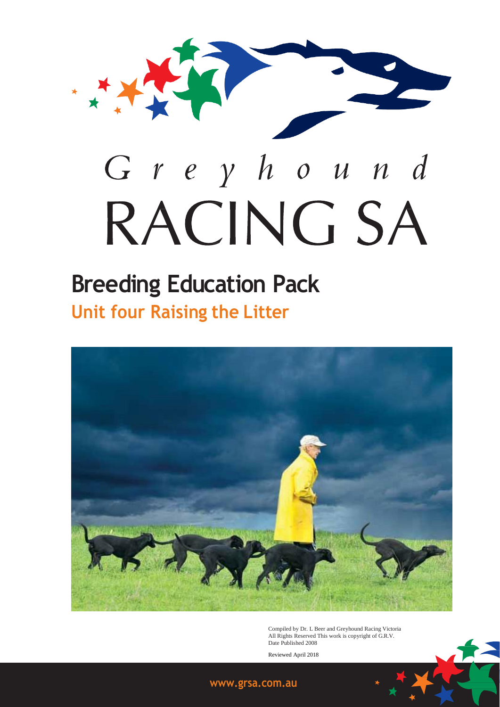

# **Breeding Education Pack Unit four Raising the Litter**



Compiled by Dr. L Beer and Greyhound Racing Victoria All Rights Reserved This work is copyright of G.R.V. Date Published 2008

Reviewed April 2018



# **[www.grsa.com.au](http://www.grsa.com.au/)**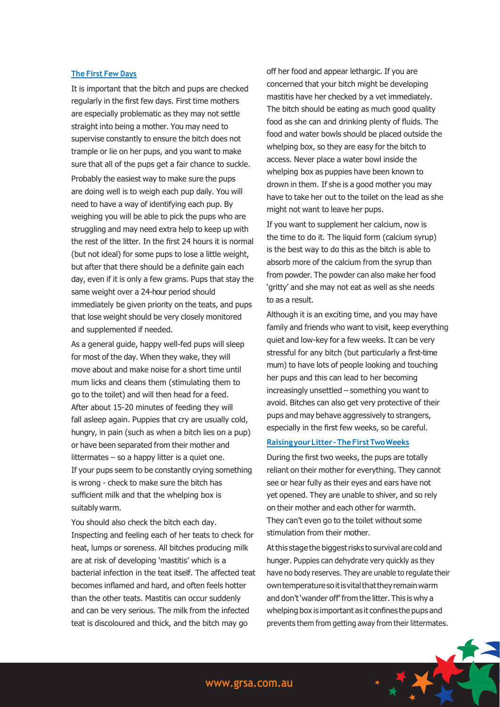## **The First Few Days**

It is important that the bitch and pups are checked regularly in the first few days. First time mothers are especially problematic as they may not settle straight into being a mother. You may need to supervise constantly to ensure the bitch does not trample or lie on her pups, and you want to make sure that all of the pups get a fair chance to suckle.

Probably the easiest way to make sure the pups are doing well is to weigh each pup daily. You will need to have a way of identifying each pup. By weighing you will be able to pick the pups who are struggling and may need extra help to keep up with the rest of the litter. In the first 24 hours it is normal (but not ideal) for some pups to lose a little weight, but after that there should be a definite gain each day, even if it is only a few grams. Pups that stay the same weight over a 24-hour period should immediately be given priority on the teats, and pups that lose weight should be very closely monitored and supplemented if needed.

As a general guide, happy well-fed pups will sleep for most of the day. When they wake, they will move about and make noise for a short time until mum licks and cleans them (stimulating them to go to the toilet) and will then head for a feed. After about 15-20 minutes of feeding they will fall asleep again. Puppies that cry are usually cold, hungry, in pain (such as when a bitch lies on a pup) or have been separated from their mother and littermates – so a happy litter is a quiet one. If your pups seem to be constantly crying something is wrong - check to make sure the bitch has sufficient milk and that the whelping box is suitably warm.

You should also check the bitch each day. Inspecting and feeling each of her teats to check for heat, lumps or soreness. All bitches producing milk are at risk of developing 'mastitis' which is a bacterial infection in the teat itself. The affected teat becomes inflamed and hard, and often feels hotter than the other teats. Mastitis can occur suddenly and can be very serious. The milk from the infected teat is discoloured and thick, and the bitch may go

off her food and appear lethargic. If you are concerned that your bitch might be developing mastitis have her checked by a vet immediately. The bitch should be eating as much good quality food as she can and drinking plenty of fluids. The food and water bowls should be placed outside the whelping box, so they are easy for the bitch to access. Never place a water bowl inside the whelping box as puppies have been known to drown in them. If she is a good mother you may have to take her out to the toilet on the lead as she might not want to leave her pups.

If you want to supplement her calcium, now is the time to do it. The liquid form (calcium syrup) is the best way to do this as the bitch is able to absorb more of the calcium from the syrup than from powder. The powder can also make her food 'gritty' and she may not eat as well as she needs to as a result.

Although it is an exciting time, and you may have family and friends who want to visit, keep everything quiet and low-key for a few weeks. It can be very stressful for any bitch (but particularly a first-time mum) to have lots of people looking and touching her pups and this can lead to her becoming increasingly unsettled – something you want to avoid. Bitches can also get very protective of their pups and may behave aggressively to strangers, especially in the first few weeks, so be careful.

#### **RaisingyourLitter –TheFirstTwoWeeks**

During the first two weeks, the pups are totally reliant on their mother for everything. They cannot see or hear fully as their eyes and ears have not yet opened. They are unable to shiver, and so rely on their mother and each other for warmth. They can't even go to the toilet without some stimulation from their mother.

Atthis stage the biggestrisks to survival are cold and hunger. Puppies can dehydrate very quickly as they have no body reserves. They are unable to regulate their owntemperaturesoitisvitalthattheyremainwarm and don't 'wander off' from the litter. This is why a whelping box is important as it confines the pups and prevents them from getting away from their littermates.

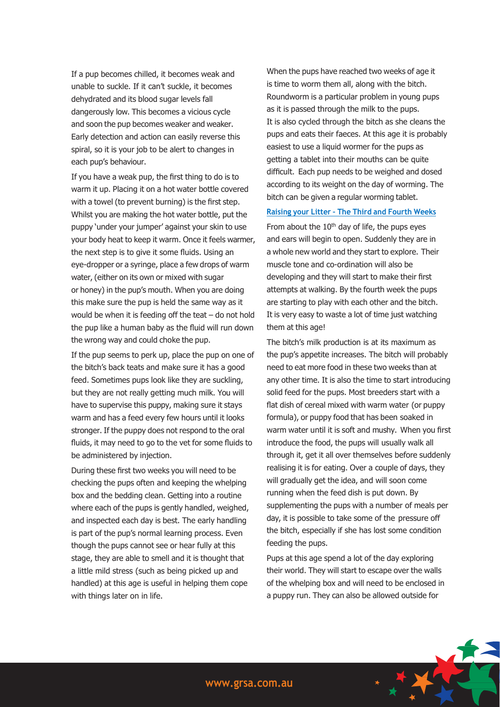If a pup becomes chilled, it becomes weak and unable to suckle. If it can't suckle, it becomes dehydrated and its blood sugar levels fall dangerously low. This becomes a vicious cycle and soon the pup becomes weaker and weaker. Early detection and action can easily reverse this spiral, so it is your job to be alert to changes in each pup's behaviour.

If you have a weak pup, the first thing to do is to warm it up. Placing it on a hot water bottle covered with a towel (to prevent burning) is the first step. Whilst you are making the hot water bottle, put the puppy 'under your jumper' against your skin to use your body heat to keep it warm. Once it feels warmer, the next step is to give it some fluids. Using an eye-dropper or a syringe, place a few drops of warm water, (either on its own or mixed with sugar or honey) in the pup's mouth. When you are doing this make sure the pup is held the same way as it would be when it is feeding off the teat – do not hold the pup like a human baby as the fluid will run down the wrong way and could choke the pup.

If the pup seems to perk up, place the pup on one of the bitch's back teats and make sure it has a good feed. Sometimes pups look like they are suckling, but they are not really getting much milk. You will have to supervise this puppy, making sure it stays warm and has a feed every few hours until it looks stronger. If the puppy does not respond to the oral fluids, it may need to go to the vet for some fluids to be administered by injection.

During these first two weeks you will need to be checking the pups often and keeping the whelping box and the bedding clean. Getting into a routine where each of the pups is gently handled, weighed, and inspected each day is best. The early handling is part of the pup's normal learning process. Even though the pups cannot see or hear fully at this stage, they are able to smell and it is thought that a little mild stress (such as being picked up and handled) at this age is useful in helping them cope with things later on in life.

When the pups have reached two weeks of age it is time to worm them all, along with the bitch. Roundworm is a particular problem in young pups as it is passed through the milk to the pups. It is also cycled through the bitch as she cleans the pups and eats their faeces. At this age it is probably easiest to use a liquid wormer for the pups as getting a tablet into their mouths can be quite difficult. Each pup needs to be weighed and dosed according to its weight on the day of worming. The bitch can be given a regular worming tablet.

#### **Raising your Litter – The Third and Fourth Weeks**

From about the  $10<sup>th</sup>$  day of life, the pups eyes and ears will begin to open. Suddenly they are in a whole new world and they start to explore. Their muscle tone and co-ordination will also be developing and they will start to make their first attempts at walking. By the fourth week the pups are starting to play with each other and the bitch. It is very easy to waste a lot of time just watching them at this age!

The bitch's milk production is at its maximum as the pup's appetite increases. The bitch will probably need to eat more food in these two weeks than at any other time. It is also the time to start introducing solid feed for the pups. Most breeders start with a flat dish of cereal mixed with warm water (or puppy formula), or puppy food that has been soaked in warm water until it is soft and mushy. When you first introduce the food, the pups will usually walk all through it, get it all over themselves before suddenly realising it is for eating. Over a couple of days, they will gradually get the idea, and will soon come running when the feed dish is put down. By supplementing the pups with a number of meals per day, it is possible to take some of the pressure off the bitch, especially if she has lost some condition feeding the pups.

Pups at this age spend a lot of the day exploring their world. They will start to escape over the walls of the whelping box and will need to be enclosed in a puppy run. They can also be allowed outside for

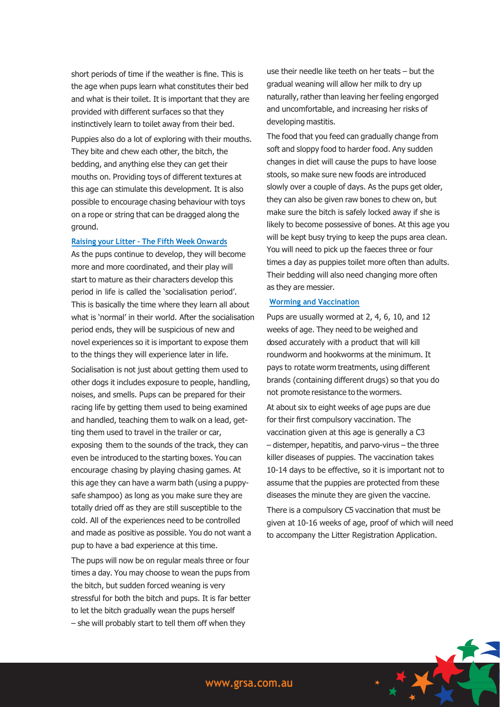short periods of time if the weather is fine. This is the age when pups learn what constitutes their bed and what is their toilet. It is important that they are provided with different surfaces so that they instinctively learn to toilet away from their bed.

Puppies also do a lot of exploring with their mouths. They bite and chew each other, the bitch, the bedding, and anything else they can get their mouths on. Providing toys of different textures at this age can stimulate this development. It is also possible to encourage chasing behaviour with toys on a rope or string that can be dragged along the ground.

#### **Raising your Litter – The Fifth Week Onwards**

As the pups continue to develop, they will become more and more coordinated, and their play will start to mature as their characters develop this period in life is called the 'socialisation period'. This is basically the time where they learn all about what is 'normal' in their world. After the socialisation period ends, they will be suspicious of new and novel experiences so it is important to expose them to the things they will experience later in life.

Socialisation is not just about getting them used to other dogs it includes exposure to people, handling, noises, and smells. Pups can be prepared for their racing life by getting them used to being examined and handled, teaching them to walk on a lead, getting them used to travel in the trailer or car, exposing them to the sounds of the track, they can even be introduced to the starting boxes. You can encourage chasing by playing chasing games. At this age they can have a warm bath (using a puppysafe shampoo) as long as you make sure they are totally dried off as they are still susceptible to the cold. All of the experiences need to be controlled and made as positive as possible. You do not want a pup to have a bad experience at this time.

The pups will now be on regular meals three or four times a day. You may choose to wean the pups from the bitch, but sudden forced weaning is very stressful for both the bitch and pups. It is far better to let the bitch gradually wean the pups herself – she will probably start to tell them off when they

use their needle like teeth on her teats – but the gradual weaning will allow her milk to dry up naturally, rather than leaving her feeling engorged and uncomfortable, and increasing her risks of developing mastitis.

The food that you feed can gradually change from soft and sloppy food to harder food. Any sudden changes in diet will cause the pups to have loose stools, so make sure new foods are introduced slowly over a couple of days. As the pups get older, they can also be given raw bones to chew on, but make sure the bitch is safely locked away if she is likely to become possessive of bones. At this age you will be kept busy trying to keep the pups area clean. You will need to pick up the faeces three or four times a day as puppies toilet more often than adults. Their bedding will also need changing more often as they are messier.

## **Worming and Vaccination**

Pups are usually wormed at 2, 4, 6, 10, and 12 weeks of age. They need to be weighed and dosed accurately with a product that will kill roundworm and hookworms at the minimum. It pays to rotate worm treatments, using different brands (containing different drugs) so that you do not promote resistance to the wormers.

At about six to eight weeks of age pups are due for their first compulsory vaccination. The vaccination given at this age is generally a C3 – distemper, hepatitis, and parvo-virus – the three killer diseases of puppies. The vaccination takes 10-14 days to be effective, so it is important not to assume that the puppies are protected from these diseases the minute they are given the vaccine.

There is a compulsory C5 vaccination that must be given at 10-16 weeks of age, proof of which will need to accompany the Litter Registration Application.